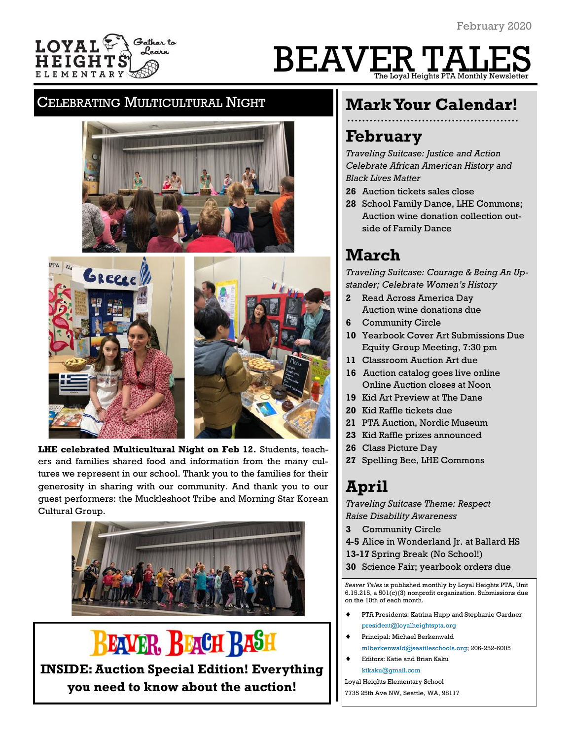

# BEAVER TALES The Loyal Heights PTA Monthly Newsletter

### CELEBRATING MULTICULTURAL NIGHT





**LHE celebrated Multicultural Night on Feb 12.** Students, teachers and families shared food and information from the many cultures we represent in our school. Thank you to the families for their generosity in sharing with our community. And thank you to our guest performers: the Muckleshoot Tribe and Morning Star Korean Cultural Group.



## **EAVER, BEACH RASH**

**INSIDE: Auction Special Edition! Everything you need to know about the auction!**

## **Mark Your Calendar!**

## **February**

*Traveling Suitcase: Justice and Action Celebrate African American History and Black Lives Matter*

- **26** Auction tickets sales close
- **28** School Family Dance, LHE Commons; Auction wine donation collection outside of Family Dance

## **March**

*Traveling Suitcase: Courage & Being An Upstander; Celebrate Women's History*

- **2** Read Across America Day Auction wine donations due
- **6** Community Circle
- **10** Yearbook Cover Art Submissions Due Equity Group Meeting, 7:30 pm
- **11** Classroom Auction Art due
- **16** Auction catalog goes live online Online Auction closes at Noon
- **19** Kid Art Preview at The Dane
- **20** Kid Raffle tickets due
- **21** PTA Auction, Nordic Museum
- **23** Kid Raffle prizes announced
- **26** Class Picture Day
- **27** Spelling Bee, LHE Commons

## **April**

*Traveling Suitcase Theme: Respect Raise Disability Awareness*

- **3** Community Circle
- **4-5** Alice in Wonderland Jr. at Ballard HS
- **13-17** Spring Break (No School!)
- **30** Science Fair; yearbook orders due

*Beaver Tales* is published monthly by Loyal Heights PTA, Unit 6.15.215, a 501(c)(3) nonprofit organization. Submissions due on the 10th of each month.

- PTA Presidents: Katrina Hupp and Stephanie Gardner [president@loyalheightspta.org](mailto:president@loyalheightspta.org)
- Principal: Michael Berkenwald
- [mlberkenwald@seattleschools.org;](mailto:mlberkenwald@seattleschools.org) 206-252-6005 Editors: Katie and Brian Kaku [ktkaku@gmail.com](mailto:ktkaku@gmail.com)
- Loyal Heights Elementary School
- 7735 25th Ave NW, Seattle, WA, 98117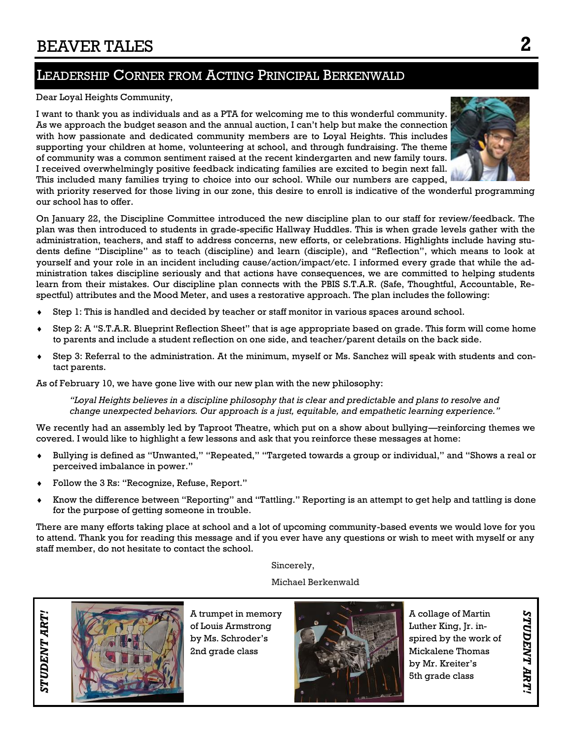## LEADERSHIP CORNER FROM ACTING PRINCIPAL BERKENWALD

#### Dear Loyal Heights Community,

I want to thank you as individuals and as a PTA for welcoming me to this wonderful community. As we approach the budget season and the annual auction, I can't help but make the connection with how passionate and dedicated community members are to Loyal Heights. This includes supporting your children at home, volunteering at school, and through fundraising. The theme of community was a common sentiment raised at the recent kindergarten and new family tours. I received overwhelmingly positive feedback indicating families are excited to begin next fall. This included many families trying to choice into our school. While our numbers are capped,



with priority reserved for those living in our zone, this desire to enroll is indicative of the wonderful programming our school has to offer.

On January 22, the Discipline Committee introduced the new discipline plan to our staff for review/feedback. The plan was then introduced to students in grade-specific Hallway Huddles. This is when grade levels gather with the administration, teachers, and staff to address concerns, new efforts, or celebrations. Highlights include having students define "Discipline" as to teach (discipline) and learn (disciple), and "Reflection", which means to look at yourself and your role in an incident including cause/action/impact/etc. I informed every grade that while the administration takes discipline seriously and that actions have consequences, we are committed to helping students learn from their mistakes. Our discipline plan connects with the PBIS S.T.A.R. (Safe, Thoughtful, Accountable, Respectful) attributes and the Mood Meter, and uses a restorative approach. The plan includes the following:

- Step 1: This is handled and decided by teacher or staff monitor in various spaces around school.
- Step 2: A "S.T.A.R. Blueprint Reflection Sheet" that is age appropriate based on grade. This form will come home to parents and include a student reflection on one side, and teacher/parent details on the back side.
- Step 3: Referral to the administration. At the minimum, myself or Ms. Sanchez will speak with students and contact parents.

As of February 10, we have gone live with our new plan with the new philosophy:

*"Loyal Heights believes in a discipline philosophy that is clear and predictable and plans to resolve and change unexpected behaviors. Our approach is a just, equitable, and empathetic learning experience."*

We recently had an assembly led by Taproot Theatre, which put on a show about bullying—reinforcing themes we covered. I would like to highlight a few lessons and ask that you reinforce these messages at home:

- Bullying is defined as "Unwanted," "Repeated," "Targeted towards a group or individual," and "Shows a real or perceived imbalance in power."
- Follow the 3 Rs: "Recognize, Refuse, Report."
- Know the difference between "Reporting" and "Tattling." Reporting is an attempt to get help and tattling is done for the purpose of getting someone in trouble.

There are many efforts taking place at school and a lot of upcoming community-based events we would love for you to attend. Thank you for reading this message and if you ever have any questions or wish to meet with myself or any staff member, do not hesitate to contact the school.

Sincerely,

Michael Berkenwald



A trumpet in memory of Louis Armstrong by Ms. Schroder's 2nd grade class



A collage of Martin Luther King, Jr. inspired by the work of Mickalene Thomas by Mr. Kreiter's 5th grade class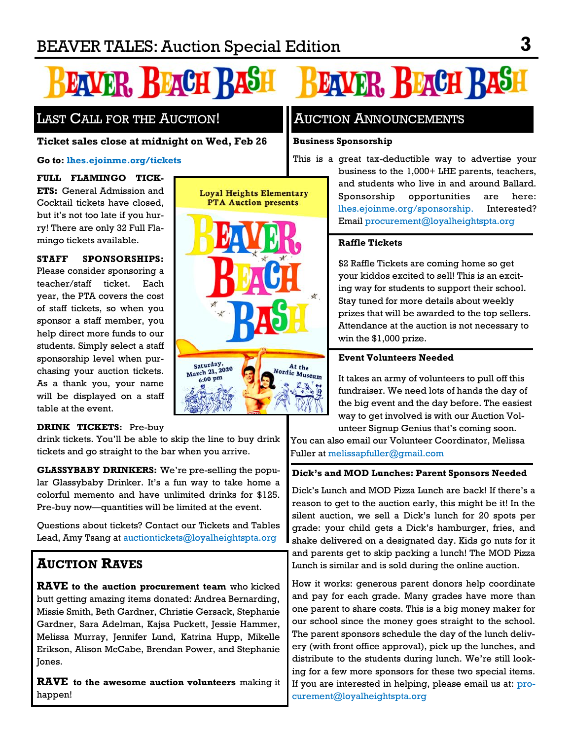# **EAVER, REACH RAST**

## LAST CALL FOR THE AUCTION!

#### **Ticket sales close at midnight on Wed, Feb 26**

#### **Go to:<lhes.ejoinme.org/tickets>**

**FULL FLAMINGO TICK-ETS:** General Admission and Cocktail tickets have closed, but it's not too late if you hurry! There are only 32 Full Flamingo tickets available.

**STAFF SPONSORSHIPS:**  Please consider sponsoring a teacher/staff ticket. Each year, the PTA covers the cost of staff tickets, so when you sponsor a staff member, you help direct more funds to our students. Simply select a staff sponsorship level when purchasing your auction tickets. As a thank you, your name will be displayed on a staff table at the event.

#### **DRINK TICKETS:** Pre-buy

drink tickets. You'll be able to skip the line to buy drink tickets and go straight to the bar when you arrive.

**GLASSYBABY DRINKERS:** We're pre-selling the popular Glassybaby Drinker. It's a fun way to take home a colorful memento and have unlimited drinks for \$125. Pre-buy now—quantities will be limited at the event.

Questions about tickets? Contact our Tickets and Tables Lead, Amy Tsang at [auctiontickets@loyalheightspta.org](mailto:auctiontickets@loyalheightspta.org)

## **AUCTION RAVES**

**RAVE to the auction procurement team** who kicked butt getting amazing items donated: Andrea Bernarding, Missie Smith, Beth Gardner, Christie Gersack, Stephanie Gardner, Sara Adelman, Kajsa Puckett, Jessie Hammer, Melissa Murray, Jennifer Lund, Katrina Hupp, Mikelle Erikson, Alison McCabe, Brendan Power, and Stephanie Jones.

**RAVE to the awesome auction volunteers** making it happen!



## **EAVER, BEACH RASH**

## AUCTION ANNOUNCEMENTS

#### **Business Sponsorship**

This is a great tax-deductible way to advertise your business to the 1,000+ LHE parents, teachers, and students who live in and around Ballard. Sponsorship opportunities are here: lhes.ejoinme.org/sponsorship. Interested? Email [procurement@loyalheightspta.org](mailto:procurement@loyalheightspta.org)

#### **Raffle Tickets**

\$2 Raffle Tickets are coming home so get your kiddos excited to sell! This is an exciting way for students to support their school. Stay tuned for more details about weekly prizes that will be awarded to the top sellers. Attendance at the auction is not necessary to win the \$1,000 prize.

#### **Event Volunteers Needed**

It takes an army of volunteers to pull off this fundraiser. We need lots of hands the day of the big event and the day before. The easiest way to get involved is with our Auction Volunteer Signup Genius that's coming soon.

You can also email our Volunteer Coordinator, Melissa Fuller at [melissapfuller@gmail.com](mailto:melissapfuller@gmail.com)

#### **Dick's and MOD Lunches: Parent Sponsors Needed**

Dick's Lunch and MOD Pizza Lunch are back! If there's a reason to get to the auction early, this might be it! In the silent auction, we sell a Dick's lunch for 20 spots per grade: your child gets a Dick's hamburger, fries, and shake delivered on a designated day. Kids go nuts for it and parents get to skip packing a lunch! The MOD Pizza Lunch is similar and is sold during the online auction.

How it works: generous parent donors help coordinate and pay for each grade. Many grades have more than one parent to share costs. This is a big money maker for our school since the money goes straight to the school. The parent sponsors schedule the day of the lunch delivery (with front office approval), pick up the lunches, and distribute to the students during lunch. We're still looking for a few more sponsors for these two special items. If you are interested in helping, please email us at: [pro](mailto:procurement@loyalheightspta.org)[curement@loyalheightspta.org](mailto:procurement@loyalheightspta.org)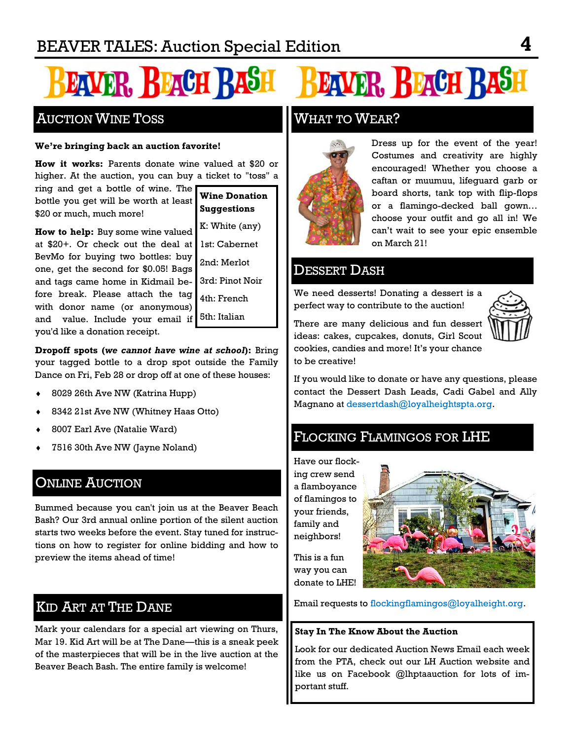# **EAVER, REAGH RAS**

## AUCTION WINE TOSS

#### **We're bringing back an auction favorite!**

**How it works:** Parents donate wine valued at \$20 or higher. At the auction, you can buy a ticket to "toss" a

ring and get a bottle of wine. The bottle you get will be worth at least \$20 or much, much more!

**Wine Donation Suggestions**

**How to help:** Buy some wine valued at \$20+. Or check out the deal at 1st: Cabernet BevMo for buying two bottles: buy one, get the second for \$0.05! Bags and tags came home in Kidmail before break. Please attach the tag with donor name (or anonymous) and value. Include your email if 5th: Italian you'd like a donation receipt.

K: White (any) 2nd: Merlot 3rd: Pinot Noir

4th: French

**Dropoff spots (***we cannot have wine at school***):** Bring your tagged bottle to a drop spot outside the Family Dance on Fri, Feb 28 or drop off at one of these houses:

- 8029 26th Ave NW (Katrina Hupp)
- 8342 21st Ave NW (Whitney Haas Otto)
- 8007 Earl Ave (Natalie Ward)
- 7516 30th Ave NW (Jayne Noland)

## **ONLINE AUCTION**

Bummed because you can't join us at the Beaver Beach Bash? Our 3rd annual online portion of the silent auction starts two weeks before the event. Stay tuned for instructions on how to register for online bidding and how to preview the items ahead of time!

## KID ART AT THE DANE

Mark your calendars for a special art viewing on Thurs, Mar 19. Kid Art will be at The Dane—this is a sneak peek of the masterpieces that will be in the live auction at the Beaver Beach Bash. The entire family is welcome!

## **EAVER, BEACH RASH**

## WHAT TO WEAR?



Dress up for the event of the year! Costumes and creativity are highly encouraged! Whether you choose a caftan or muumuu, lifeguard garb or board shorts, tank top with flip-flops or a flamingo-decked ball gown… choose your outfit and go all in! We can't wait to see your epic ensemble on March 21!

### DESSERT DASH

We need desserts! Donating a dessert is a perfect way to contribute to the auction!



There are many delicious and fun dessert ideas: cakes, cupcakes, donuts, Girl Scout cookies, candies and more! It's your chance to be creative!

If you would like to donate or have any questions, please contact the Dessert Dash Leads, Cadi Gabel and Ally Magnano at [dessertdash@loyalheightspta.org.](mailto:dessertdash@loyalheightspta.org) 

## FLOCKING FLAMINGOS FOR LHE

Have our flocking crew send a flamboyance of flamingos to your friends, family and neighbors!



This is a fun way you can donate to LHE!

Email requests to [flockingflamingos@loyalheight.org.](mailto:flockingflamingos@loyalheight.org)

#### **Stay In The Know About the Auction**

Look for our dedicated Auction News Email each week from the PTA, check out our LH Auction website and like us on Facebook @lhptaauction for lots of important stuff.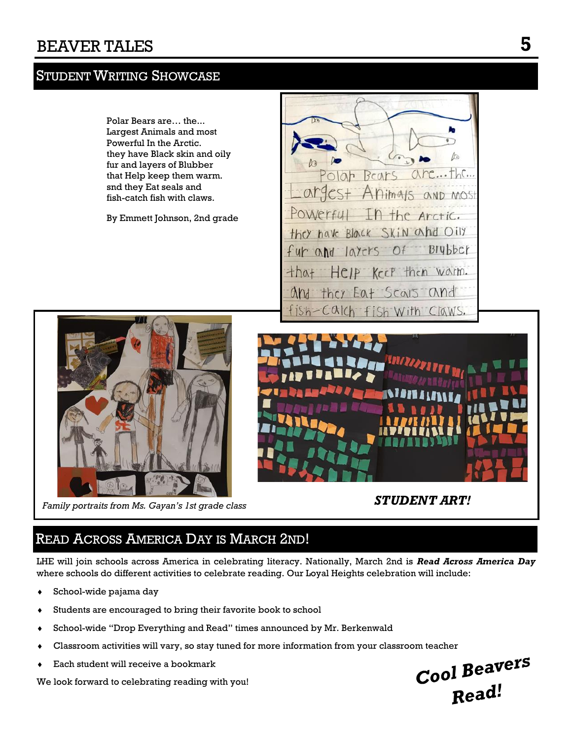## **STUDENT WRITING SHOWCASE**



## READ ACROSS AMERICA DAY IS MARCH 2ND!

LHE will join schools across America in celebrating literacy. Nationally, March 2nd is *Read Across America Day* where schools do different activities to celebrate reading. Our Loyal Heights celebration will include:

- School-wide pajama day
- Students are encouraged to bring their favorite book to school
- School-wide "Drop Everything and Read" times announced by Mr. Berkenwald
- Classroom activities will vary, so stay tuned for more information from your classroom teacher
- Each student will receive a bookmark

We look forward to celebrating reading with you!

Cool Beavers Read!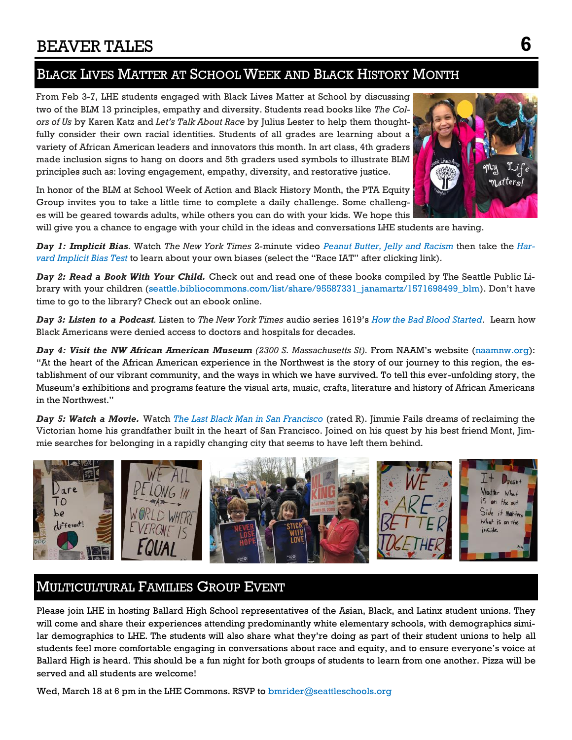## BLACK LIVES MATTER AT SCHOOL WEEK AND BLACK HISTORY MONTH

From Feb 3-7, LHE students engaged with Black Lives Matter at School by discussing two of the BLM 13 principles, empathy and diversity. Students read books like *The Colors of Us* by Karen Katz and *Let's Talk About Race* by Julius Lester to help them thoughtfully consider their own racial identities. Students of all grades are learning about a variety of African American leaders and innovators this month. In art class, 4th graders made inclusion signs to hang on doors and 5th graders used symbols to illustrate BLM principles such as: loving engagement, empathy, diversity, and restorative justice.

In honor of the BLM at School Week of Action and Black History Month, the PTA Equity Group invites you to take a little time to complete a daily challenge. Some challenges will be geared towards adults, while others you can do with your kids. We hope this



will give you a chance to engage with your child in the ideas and conversations LHE students are having.

*Day 1: Implicit Bias.* Watch *The New York Times* 2-minute video *[Peanut Butter, Jelly and Racism](http://track.spe.schoolmessenger.com/f/a/Z3wBU21h-uHJO6_IgZDvWw~~/AAAAAQA~/RgRgFeuQP4RnAWh0dHBzOi8vbmFtMDUuc2FmZWxpbmtzLnByb3RlY3Rpb24ub3V0bG9vay5jb20vP3VybD1odHRwcyUzQSUyRiUyRnd3dy5ueXRpbWVzLmNvbSUyRnZpZGVvJTJGdXMlMkYxMDAwMDAwMDQ4MTg2NjMlMkZwZWFudXQtYnV0dGVy)* then take the *[Har](http://track.spe.schoolmessenger.com/f/a/JIe_34GWqmXDdfLLhMqDXw~~/AAAAAQA~/RgRgFeuQP4RDAWh0dHBzOi8vbmFtMDUuc2FmZWxpbmtzLnByb3RlY3Rpb24ub3V0bG9vay5jb20vP3VybD1odHRwcyUzQSUyRiUyRmltcGxpY2l0LmhhcnZhcmQuZWR1JTJGaW1wbGljaXQlMkZ0YWtlYXRlc3QuaHRtbCZkYXRhPTAyJTdDMDEl)[vard Implicit Bias Test](http://track.spe.schoolmessenger.com/f/a/JIe_34GWqmXDdfLLhMqDXw~~/AAAAAQA~/RgRgFeuQP4RDAWh0dHBzOi8vbmFtMDUuc2FmZWxpbmtzLnByb3RlY3Rpb24ub3V0bG9vay5jb20vP3VybD1odHRwcyUzQSUyRiUyRmltcGxpY2l0LmhhcnZhcmQuZWR1JTJGaW1wbGljaXQlMkZ0YWtlYXRlc3QuaHRtbCZkYXRhPTAyJTdDMDEl)* to learn about your own biases (select the "Race IAT" after clicking link)*.*

*Day 2: Read a Book With Your Child.* Check out and read one of these books compiled by The Seattle Public Library with your children [\(seattle.bibliocommons.com/list/share/95587331\\_janamartz/1571698499\\_blm](seattle.bibliocommons.com/list/share/95587331_janamartz/1571698499_blm)). Don't have time to go to the library? Check out an ebook online.

*Day 3: Listen to a Podcast.* Listen to *The New York Times* audio series 1619's *[How the Bad Blood Started](http://track.spe.schoolmessenger.com/f/a/FSehEj-fecNjuDplP4wzrw~~/AAAAAQA~/RgRgFeuQP4RjAWh0dHBzOi8vbmFtMDUuc2FmZWxpbmtzLnByb3RlY3Rpb24ub3V0bG9vay5jb20vP3VybD1odHRwcyUzQSUyRiUyRnd3dy5ueXRpbWVzLmNvbSUyRjIwMTklMkYwOSUyRjEzJTJGcG9kY2FzdHMlMkYxNjE5LXNsYXZlcnktaGVh)*. Learn how Black Americans were denied access to doctors and hospitals for decades.

*Day 4: Visit the NW African American Museum (2300 S. Massachusetts St).* From NAAM's website ([naamnw.org\)](http://www.naamnw.org): "At the heart of the African American experience in the Northwest is the story of our journey to this region, the establishment of our vibrant community, and the ways in which we have survived. To tell this ever-unfolding story, the Museum's exhibitions and programs feature the visual arts, music, crafts, literature and history of African Americans in the Northwest."

*Day 5: Watch a Movie.* Watch *[The Last Black Man in San Francisco](http://track.spe.schoolmessenger.com/f/a/Bb15bt873tuXgGm-9ZrivQ~~/AAAAAQA~/RgRgFeuQP4RUAWh0dHBzOi8vbmFtMDUuc2FmZWxpbmtzLnByb3RlY3Rpb24ub3V0bG9vay5jb20vP3VybD1odHRwcyUzQSUyRiUyRnd3dy5hbWF6b24uY29tJTJGTGFzdC1CbGFjay1NYW4tU2FuLUZyYW5jaXNjbyUyRmRwJTJGQjA3UzdTUkJW)* (rated R). Jimmie Fails dreams of reclaiming the Victorian home his grandfather built in the heart of San Francisco. Joined on his quest by his best friend Mont, Jimmie searches for belonging in a rapidly changing city that seems to have left them behind.



## MULTICULTURAL FAMILIES GROUP EVENT

Please join LHE in hosting Ballard High School representatives of the Asian, Black, and Latinx student unions. They will come and share their experiences attending predominantly white elementary schools, with demographics similar demographics to LHE. The students will also share what they're doing as part of their student unions to help all students feel more comfortable engaging in conversations about race and equity, and to ensure everyone's voice at Ballard High is heard. This should be a fun night for both groups of students to learn from one another. Pizza will be served and all students are welcome!

Wed, March 18 at 6 pm in the LHE Commons. RSVP to [bmrider@seattleschools.org](mailto:bmrider@seattleschools.org)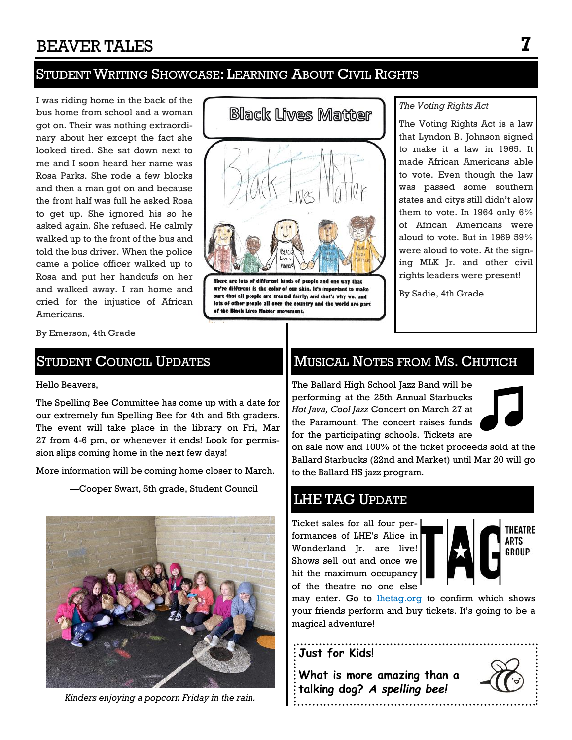## STUDENT WRITING SHOWCASE: LEARNING ABOUT CIVIL RIGHTS

I was riding home in the back of the bus home from school and a woman got on. Their was nothing extraordinary about her except the fact she looked tired. She sat down next to me and I soon heard her name was Rosa Parks. She rode a few blocks and then a man got on and because the front half was full he asked Rosa to get up. She ignored his so he asked again. She refused. He calmly walked up to the front of the bus and told the bus driver. When the police came a police officer walked up to Rosa and put her handcufs on her and walked away. I ran home and cried for the injustice of African Americans.

**Black Lives Matter** 

There are lots of different kinds of people and one way that we're different is the color of our skin. It's important to make sure that all people are treated fairly, and that's why we, and lots of other people all over the country and the world are part of the Black Lives Matter movement.

#### *The Voting Rights Act*

The Voting Rights Act is a law that Lyndon B. Johnson signed to make it a law in 1965. It made African Americans able to vote. Even though the law was passed some southern states and citys still didn't alow them to vote. In 1964 only 6% of African Americans were aloud to vote. But in 1969 59% were aloud to vote. At the signing MLK Jr. and other civil rights leaders were present!

By Sadie, 4th Grade

By Emerson, 4th Grade

### STUDENT COUNCIL UPDATES

#### Hello Beavers,

The Spelling Bee Committee has come up with a date for our extremely fun Spelling Bee for 4th and 5th graders. The event will take place in the library on Fri, Mar 27 from 4-6 pm, or whenever it ends! Look for permission slips coming home in the next few days!

More information will be coming home closer to March.

—Cooper Swart, 5th grade, Student Council



*Kinders enjoying a popcorn Friday in the rain.*

## MUSICAL NOTES FROM MS. CHUTICH

The Ballard High School Jazz Band will be performing at the 25th Annual Starbucks *Hot Java, Cool Jazz* Concert on March 27 at the Paramount. The concert raises funds for the participating schools. Tickets are



on sale now and 100% of the ticket proceeds sold at the Ballard Starbucks (22nd and Market) until Mar 20 will go to the Ballard HS jazz program.

### LHE TAG UPDATE

Ticket sales for all four performances of LHE's Alice in Wonderland Jr. are live! Shows sell out and once we hit the maximum occupancy of the theatre no one else



**THEATRE ARTS GROUP** 

may enter. Go to [lhetag.org](https://lhetag.org) to confirm which shows your friends perform and buy tickets. It's going to be a magical adventure!

#### **Just for Kids!**

**What is more amazing than a talking dog?** *A spelling bee!*

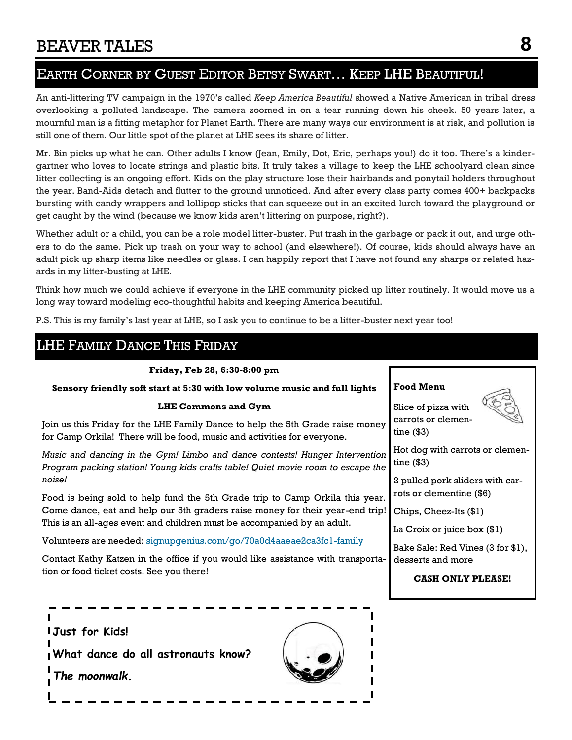## EARTH CORNER BY GUEST EDITOR BETSY SWART… KEEP LHE BEAUTIFUL!

An anti-littering TV campaign in the 1970's called *Keep America Beautiful* showed a Native American in tribal dress overlooking a polluted landscape. The camera zoomed in on a tear running down his cheek. 50 years later, a mournful man is a fitting metaphor for Planet Earth. There are many ways our environment is at risk, and pollution is still one of them. Our little spot of the planet at LHE sees its share of litter.

Mr. Bin picks up what he can. Other adults I know (Jean, Emily, Dot, Eric, perhaps you!) do it too. There's a kindergartner who loves to locate strings and plastic bits. It truly takes a village to keep the LHE schoolyard clean since litter collecting is an ongoing effort. Kids on the play structure lose their hairbands and ponytail holders throughout the year. Band-Aids detach and flutter to the ground unnoticed. And after every class party comes 400+ backpacks bursting with candy wrappers and lollipop sticks that can squeeze out in an excited lurch toward the playground or get caught by the wind (because we know kids aren't littering on purpose, right?).

Whether adult or a child, you can be a role model litter-buster. Put trash in the garbage or pack it out, and urge others to do the same. Pick up trash on your way to school (and elsewhere!). Of course, kids should always have an adult pick up sharp items like needles or glass. I can happily report that I have not found any sharps or related hazards in my litter-busting at LHE.

Think how much we could achieve if everyone in the LHE community picked up litter routinely. It would move us a long way toward modeling eco-thoughtful habits and keeping America beautiful.

P.S. This is my family's last year at LHE, so I ask you to continue to be a litter-buster next year too!

#### LHE FAMILY DANCE THIS FRIDAY **Friday, Feb 28, 6:30-8:00 pm Sensory friendly soft start at 5:30 with low volume music and full lights LHE Commons and Gym** Join us this Friday for the LHE Family Dance to help the 5th Grade raise money for Camp Orkila! There will be food, music and activities for everyone. *Music and dancing in the Gym! Limbo and dance contests! Hunger Intervention Program packing station! Young kids crafts table! Quiet movie room to escape the noise!* Food is being sold to help fund the 5th Grade trip to Camp Orkila this year. Come dance, eat and help our 5th graders raise money for their year-end trip! This is an all-ages event and children must be accompanied by an adult. Volunteers are needed: [signupgenius.com/go/70a0d4aaeae2ca3fc1-family](http://www.signupgenius.com/go/70a0d4aaeae2ca3fc1-family) Contact Kathy Katzen in the office if you would like assistance with transportation or food ticket costs. See you there! **Food Menu** Slice of pizza with carrots or clementine (\$3) Hot dog with carrots or clementine (\$3) 2 pulled pork sliders with carrots or clementine (\$6) Chips, Cheez-Its (\$1) La Croix or juice box (\$1) Bake Sale: Red Vines (3 for \$1), desserts and more **CASH ONLY PLEASE! Just for Kids!**

**What dance do all astronauts know?** 

*The moonwalk.*



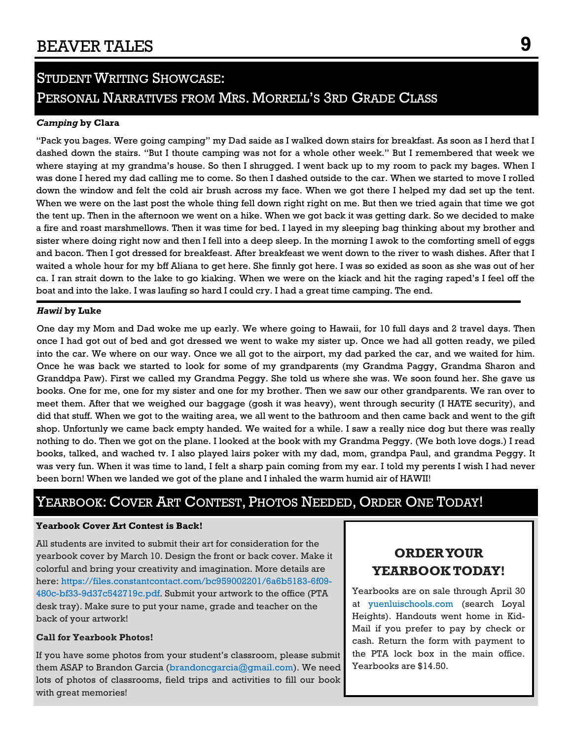## **STUDENT WRITING SHOWCASE:** PERSONAL NARRATIVES FROM MRS. MORRELL'S 3RD GRADE CLASS

#### *Camping* **by Clara**

"Pack you bages. Were going camping" my Dad saide as I walked down stairs for breakfast. As soon as I herd that I dashed down the stairs. "But I thoute camping was not for a whole other week." But I remembered that week we where staying at my grandma's house. So then I shrugged. I went back up to my room to pack my bages. When I was done I hered my dad calling me to come. So then I dashed outside to the car. When we started to move I rolled down the window and felt the cold air brush across my face. When we got there I helped my dad set up the tent. When we were on the last post the whole thing fell down right right on me. But then we tried again that time we got the tent up. Then in the afternoon we went on a hike. When we got back it was getting dark. So we decided to make a fire and roast marshmellows. Then it was time for bed. I layed in my sleeping bag thinking about my brother and sister where doing right now and then I fell into a deep sleep. In the morning I awok to the comforting smell of eggs and bacon. Then I got dressed for breakfeast. After breakfeast we went down to the river to wash dishes. After that I waited a whole hour for my bff Aliana to get here. She finnly got here. I was so exided as soon as she was out of her ca. I ran strait down to the lake to go kiaking. When we were on the kiack and hit the raging raped's I feel off the boat and into the lake. I was laufing so hard I could cry. I had a great time camping. The end.

#### *Hawii* **by Luke**

One day my Mom and Dad woke me up early. We where going to Hawaii, for 10 full days and 2 travel days. Then once I had got out of bed and got dressed we went to wake my sister up. Once we had all gotten ready, we piled into the car. We where on our way. Once we all got to the airport, my dad parked the car, and we waited for him. Once he was back we started to look for some of my grandparents (my Grandma Paggy, Grandma Sharon and Granddpa Paw). First we called my Grandma Peggy. She told us where she was. We soon found her. She gave us books. One for me, one for my sister and one for my brother. Then we saw our other grandparents. We ran over to meet them. After that we weighed our baggage (gosh it was heavy), went through security (I HATE security), and did that stuff. When we got to the waiting area, we all went to the bathroom and then came back and went to the gift shop. Unfortunly we came back empty handed. We waited for a while. I saw a really nice dog but there was really nothing to do. Then we got on the plane. I looked at the book with my Grandma Peggy. (We both love dogs.) I read books, talked, and wached tv. I also played lairs poker with my dad, mom, grandpa Paul, and grandma Peggy. It was very fun. When it was time to land, I felt a sharp pain coming from my ear. I told my perents I wish I had never been born! When we landed we got of the plane and I inhaled the warm humid air of HAWII!

## YEARBOOK: COVER ART CONTEST, PHOTOS NEEDED, ORDER ONE TODAY!

#### **Yearbook Cover Art Contest is Back!**

All students are invited to submit their art for consideration for the yearbook cover by March 10. Design the front or back cover. Make it colorful and bring your creativity and imagination. More details are here: [https://files.constantcontact.com/bc959002201/6a6b5183-6f09-](https://files.constantcontact.com/bc959002201/6a6b5183-6f09-480c-bf33-9d37c542719c.pdf) [480c-bf33-9d37c542719c.pdf.](https://files.constantcontact.com/bc959002201/6a6b5183-6f09-480c-bf33-9d37c542719c.pdf) Submit your artwork to the office (PTA desk tray). Make sure to put your name, grade and teacher on the back of your artwork!

#### **Call for Yearbook Photos!**

If you have some photos from your student's classroom, please submit them ASAP to Brandon Garcia [\(brandoncgarcia@gmail.com\).](mailto:brandoncgarcia@gmail.com) We need lots of photos of classrooms, field trips and activities to fill our book with great memories!

### **ORDER YOUR YEARBOOK TODAY!**

Yearbooks are on sale through April 30 at [yuenluischools.com](http://r20.rs6.net/tn.jsp?f=001rOw427ScsLSjCUp3xpx2zrifWXDjTNLRCFSaMRdsr9oPbCfmSr4bZC1PG767tCMzbElxiz-6vU0VacwVRBhwAiLDDmQQmrNfrizSlf3yTh1aawNYSt3k1yPGY7r63kxzQe4cKH17URWBB11e6JAO3h2gj3YAxHUDVE_vTZ9UiD8=&c=Ppr50RTjNnoiU96V1sz7Vg-ueaf-7Qgs0UBkl1s7GtvCRcDB3pdjM) (search Loyal Heights). Handouts went home in Kid-Mail if you prefer to pay by check or cash. Return the form with payment to the PTA lock box in the main office. Yearbooks are \$14.50.